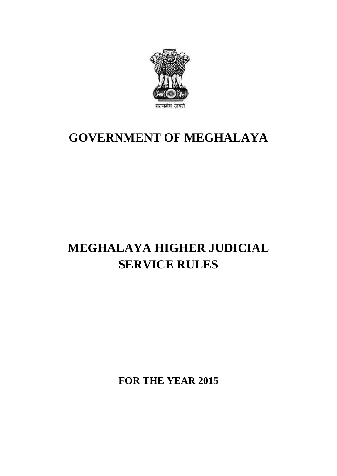

## **GOVERNMENT OF MEGHALAYA**

# **MEGHALAYA HIGHER JUDICIAL SERVICE RULES**

**FOR THE YEAR 2015**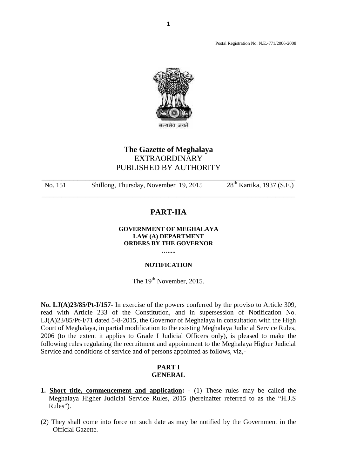Postal Registration No. N.E.-771/2006-2008



## **The Gazette of Meghalaya** EXTRAORDINARY PUBLISHED BY AUTHORITY The Gazette of Meghalaya<br>EXTRAORDINARY<br>PUBLISHED BY AUTHORITY<br>No. 151 Shillong, Thursday, November 19, 2015 28<sup>th</sup> Kartika, 1937 (S.E.)

#### **PART-IIA**

#### **GOVERNMENT OF MEGHALAYA LAW (A) DEPARTMENT ORDERS BY THE GOVERNOR**

### **…..... NOTIFICATION**

The 19<sup>th</sup> November, 2015.

No. LJ(A)23/85/Pt-I/157- In exercise of the powers conferred by the proviso to Article 309, read with Article 233 of the Constitution, and in supersession of Notification No. The 19<sup>th</sup> November, 2015.<br>**No. LJ(A)23/85/Pt-I/157**- In exercise of the powers conferred by the proviso to Article 309,<br>read with Article 233 of the Constitution, and in supersession of Notification No.<br>LJ(A)23/85/Pt-I/71 The 19<sup>th</sup> November, 2015.<br> **No. LJ(A)23/85/Pt-I/157**- In exercise of the powers conferred by the proviso to Article 309,<br>
read with Article 233 of the Constitution, and in supersession of Notification No.<br>
LJ(A)23/85/Pt-I Court of Meghalaya, in partial modification to the existing Meghalaya Judicial Service Rules, No. LJ(A)23/85/Pt-I/157- In exercise of the powers conferred by the proviso to Article 309, read with Article 233 of the Constitution, and in supersession of Notification No. LJ(A)23/85/Pt-I/71 dated 5-8-2015, the Governor following rules regulating the recruitment and appointment to the Meghalaya Higher Judicial Service and conditions of service and of persons appointed as follows, viz,-

#### **PART I GENERAL**

- **1. Short title, commencement and application:** (1) These rules may be called the Meghalaya Higher Judicial Service Rules, 2015 (hereinafter referred to as the "H.J.S Meghalaya Higher Judicial Service Rules, 2015 (hereinafter referred to as the "H.J.S Rules"). (2) They shall come into force on such date as may be notified by the Government in the Official Gazette.
- Official Gazette.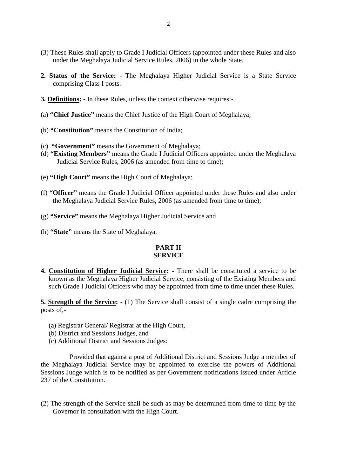- (3) These Rules shall apply to Grade I Judicial Officers (appointed under these Rules and also under the Meghalaya Judicial Service Rules, 2006) in the whole State.
- (3) These Rules shall apply to Grade I Judicial Officers (appointed under these Rules and also under the Meghalaya Judicial Service Rules, 2006) in the whole State.<br>**2. <u>Status of the Service</u>:** The Meghalaya Higher Judi comprising Class I posts. **3. <u>Definitions</u>:** - In these Rules, unless the context otherwise requires:<br> **3. <u>Definitions</u>:** - In these Rules, unless the context otherwise requires:
- 
- (a) **"Chief Justice"** means the Chief Justice of the High Court of Meghalaya;
- (b) **"Constitution"** means the Constitution of India;
- (c**) "Government"** means the Government of Meghalaya;
- (d) **"Existing Members"** means the Grade I Judicial Officers appointed under the Meghalaya Judicial Service Rules, 2006 (as amended from time to time);
- (e) **"High Court"** means the High Court of Meghalaya;
- (f) **"Officer"** means the Grade I Judicial Officer appointed under these Rules and also under the Meghalaya Judicial Service Rules, 2006 (as amended from time to time);
- (g) **"Service"** means the Meghalaya Higher Judicial Service and
- (h) **"State"** means the State of Meghalaya.

#### **PART II SERVICE**

**4. Constitution of Higher Judicial Service:** - There shall be constituted a service to be known as the Meghalaya Higher Judicial Service, consisting of the Existing Members and  $\frac{1}{2}$ **SERVICE**<br> **SERVICE**<br> **Constitution of Higher Judicial Service:** - There shall be constituted a service to be<br>
known as the Meghalaya Higher Judicial Service, consisting of the Existing Members and<br>
such Grade I Judicial O **4. Constitution of Higher Judicial Service:** - There shall be constituted a service to be known as the Meghalaya Higher Judicial Service, consisting of the Existing Members and such Grade I Judicial Officers who may be ap

posts of,-

- (a) Registrar General/ Registrar at the High Court,
- (b) District and Sessions Judges, and
- (c) Additional District and Sessions Judges:

Provided that against a post of Additional District and Sessions Judge a member of the Meghalaya Judicial Service may be appointed to exercise the powers of Additional Sessions Judge which is to be notified as per Government notifications issued under Article 237 of the Constitution. the Meghalaya Judicial Service may be appointed to exercise the powers of Additional<br>Sessions Judge which is to be notified as per Government notifications issued under Article<br>237 of the Constitution.<br>(2) The strength of

Governor in consultation with the High Court.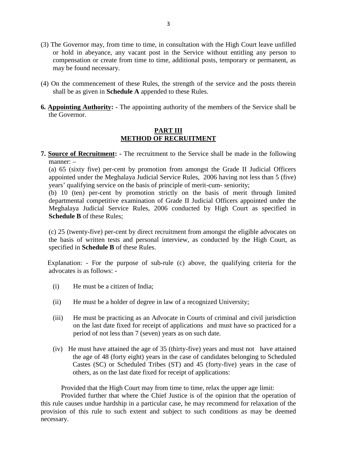- (3) The Governor may, from time to time, in consultation with the High Court leave unfilled or hold in abeyance, any vacant post in the Service without entitling any person to compensation or create from time to time, additional posts, temporary or permanent, as may be found necessary. (3) The Governor may, from time to time, in consultation with the High Court leave unfilled<br>or hold in abeyance, any vacant post in the Service without entitiing any person to<br>compensation or create from time to time, addi
- shall be as given in **Schedule A** appended to these Rules. **6. Appointing Authority:** - The appointing authority of the members of the Service shall be the Governor.
- the Governor.

#### **PART III METHOD OF RECRUITMENT**

**7. Source of Recruitment:** - The recruitment to the Service shall be made in the following<br>manner: –<br> $\frac{PART III}{manner: -}$ manner: –

**EXAMPLE (A)**<br> **Source of Recruitment:** - The recruitment to the Service shall be made in the following<br>
manner: –<br>
(a) 65 (sixty five) per-cent by promotion from amongst the Grade II Judicial Officers<br>
appointed under the **Source of Recruitment:** - The recruitment to the Service shall be made in th<br>manner:  $-$ <br>(a) 65 (sixty five) per-cent by promotion from amongst the Grade II Judic<br>appointed under the Meghalaya Judicial Service Rules, 200 **Source of Recruitment:** - The recruitment to the Service shall be made in the following manner: –<br>
(a) 65 (sixty five) per-cent by promotion from amongst the Grade II Judicial Officers<br>
appointed under the Meghalaya Judic

Meghalaya Judicial Service Rules, 2006 conducted by High Court as specified in **Schedule B** of these Rules; (b) 10 (ten) per-cent by promotion strictly on the basis of merit through limited<br>departmental competitive examination of Grade II Judicial Officers appointed under the<br>Meghalaya Judicial Service Rules, 2006 conducted by H

the basis of written tests and personal interview, as conducted by the High Court, as specified in **Schedule B** of these Rules. (c) 25 (twenty-five) per-cent by direct recruitment from amongst the eligible advocates on the basis of written tests and personal interview, as conducted by the High Court, as specified in **Schedule B** of these Rules.<br>Exp (c) 25 (twenty-five) per-cent by<br>the basis of written tests and<br>specified in **Schedule B** of thes<br>Explanation: - For the purpos<br>advocates is as follows: -

Explanation: - For the purpose of sub-rule (c) above, the qualifying criteria for the advocates is as follows: -<br>(i) He must be a citizen of India;<br>(ii) He must be a holder of degree in law of a recognized University;

- 
- 
- (ii) He must be a holder of degree in law of a recognized University;<br>(iii) He must be practicing as an Advocate in Courts of criminal and civil jurisdiction (i) He must be a citizen of India;<br>
(ii) He must be a holder of degree in law of a recognized University;<br>
(iii) He must be practicing as an Advocate in Courts of criminal and civil jurisdiction<br>
on the last date fixed for He must be a citizen of India;<br>He must be a holder of degree in law of a recognized University;<br>He must be practicing as an Advocate in Courts of criminal and civil jurisdiction<br>on the last date fixed for receipt of applic period of not less than 7 (seven) years as on such date.
- (iv) He must have attained the age of 35 (thirty-five) years and must not have attained the age of 48 (forty eight) years in the case of candidates belonging to Scheduled Castes (SC) or Scheduled Tribes (ST) and 45 (forty-five) years in the case of others, as on the last date fixed for receipt of applications: He must have attained the age of 35 (thirty-five) years and must not have attain<br>the age of 48 (forty eight) years in the case of candidates belonging to Schedu<br>Castes (SC) or Scheduled Tribes (ST) and 45 (forty-five) year

Provided further that where the Chief Justice is of the opinion that the operation of this rule causes undue hardship in a particular case, he may recommend for relaxation of the provision of this rule to such extent and subject to such conditions as may be deemed necessary.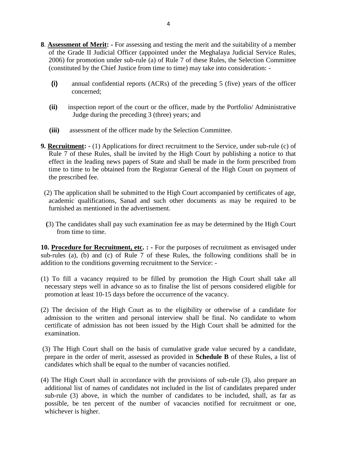- 8. **Assessment of Merit:** For assessing and testing the merit and the suitability of a member<br>of the Grade II Judicial Officer (appointed under the Meghalaya Judicial Service Rules, 4<br> **Assessment of Merit:** - For assessing and testing the merit and the suitability of a member<br>
of the Grade II Judicial Officer (appointed under the Meghalaya Judicial Service Rules,<br>
2006) for promotion under sub-rule ( **Assessment of Merit:** - For assessing and testing the merit and the suitability of a mem<br>of the Grade II Judicial Officer (appointed under the Meghalaya Judicial Service Ru<br>2006) for promotion under sub-rule (a) of Rule
	- **(i)** annual confidential reports (ACRs) of the preceding 5 (five) years of the officer concerned; **(constituted by the Chief Justice from time to time) may take into consideration: -<br>
	<b>(i)** annual confidential reports (ACRs) of the preceding 5 (five) years of the officer concerned;<br> **(ii)** inspection report of the cour
	- Judge during the preceding 3 (three) years; and
	- **(iii)** assessment of the officer made by the Selection Committee.
- **9. Recruitment:** (1) Applications for direct recruitment to the Service, under sub-rule (c) of Rule 7 of these Rules, shall be invited by the High Court by publishing a notice to that the Service of these Rules, shall b effect in the leading news papers of State and shall be made in the form prescribed from (iii) assessment of the officer made by the Selection Committee.<br> **Recruitment:** - (1) Applications for direct recruitment to the Service, under sub-rule (c) of<br>
Rule 7 of these Rules, shall be invited by the High Court by the prescribed fee. Rule 7 of these Rules, shall be invited by the High Court by publishing a notice to that effect in the leading news papers of State and shall be made in the form prescribed from time to time to be obtained from the Registr
- furnished as mentioned in the advertisement. (2) The application shall be submitted to the High Court accompanied by certificates of age, academic qualifications, Sanad and such other documents as may be required to be furnished as mentioned in the advertisement.<br>(3)
- from time to time.

**10. Procedure for Recruitment, etc. :** - For the purposes of recruitment as envisaged under sub-rules (a), (b) and (c) of Rule 7 of these Rules, the following conditions shall be in sub-rules (a), (b) and (c) of Rule 7 of these Rules, the following conditions shall be in (3) The candidates shall pay such examination fee as may be determ<br>from time to time.<br>**10. <u>Procedure for Recruitment, etc</u>. :** - For the purposes of recruitm<br>sub-rules (a), (b) and (c) of Rule 7 of these Rules, the follo 10. **Procedure for Recruitment, etc.** : - For the purposes of recruitment as envisaged under sub-rules (a), (b) and (c) of Rule 7 of these Rules, the following conditions shall be in addition to the conditions governing re

- necessary steps well in advance so as to finalise the list of persons considered eligible for promotion at least 10-15 days before the occurrence of the vacancy. (1) To fill a vacancy required to be filled by promotion the High Court shall take all<br>necessary steps well in advance so as to finalise the list of persons considered eligible for<br>promotion at least 10-15 days before the
- certificate of admission has not been issued by the High Court shall be admitted for the examination. (2) The decision of the High Court as to the eligibility or otherwise of a candidate for admission to the written and personal interview shall be final. No candidate to whom certificate of admission has not been issued by

prepare in the order of merit, assessed as provided in **Schedule B** of these Rules, a list of candidates which shall be equal to the number of vacancies notified. (3) The High Court shall on the basis of cumulative grade value secured by a candidate, prepare in the order of merit, assessed as provided in **Schedule B** of these Rules, a list of candidates which shall be equal to the

additional list of names of candidates not included in the list of candidates prepared under sub-rule (3) above, in which the number of candidates to be included, shall, as far as possible, be ten percent of the number of vacancies notified for recruitment or one, whichever is higher.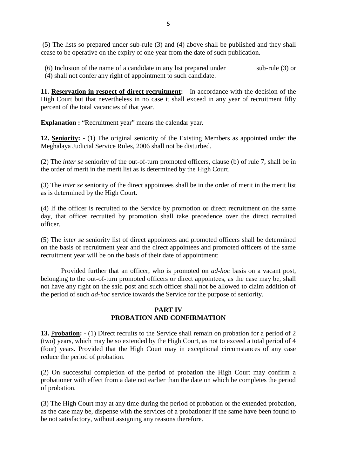5<br>(5) The lists so prepared under sub-rule (3) and (4) above shall be published and they shall<br>cease to be operative on the expiry of one year from the date of such publication. cease to be operative on the expiry of one year from the date of such publication. (6) Inclusion of the name of a candidate in any list prepared under<br>
(6) Inclusion of the name of a candidate in any list prepared under<br>
(4) shall not confer any right of appointment to such candidate.

(4) shall not confer any right of appointment to such candidate. 11. **Reservation in respect of direct recruitment:** - In accordance with the decision of the **11. Reservation in respect of direct recruitment:** - In accordance with the decision of the

High Court but that nevertheless in no case it shall exceed in any year of recruitment fifty percent of the total vacancies of that year.

**Explanation :** "Recruitment year" means the calendar year.

High Court but that nevertheless in no case it shall exceed in any year of recruitment fifty<br>percent of the total vacancies of that year.<br>**Explanation :** "Recruitment year" means the calendar year.<br>**12. <u>Seniority</u>:** - (1) Meghalaya Judicial Service Rules, 2006 shall not be disturbed. **Explanation :** "Recruitment year" means the calendar year.<br> **12. <u>Seniority</u>:** - (1) The original seniority of the Existing Members as appointed under the<br>
Meghalaya Judicial Service Rules, 2006 shall not be disturbed.<br>
(

the order of merit in the merit list as is determined by the High Court. (2) The *inter se* seniority of the out-of-turn promoted officers, clause (b) of rule 7, shall be in the order of merit in the merit list as is determined by the High Court.<br>(3) The *inter se* seniority of the direct appoi

as is determined by the High Court.

the order of merit in the merit list as is determined by the High Court.<br>
(3) The *inter se* seniority of the direct appointees shall be in the order of merit in the merit list<br>
as is determined by the High Court.<br>
(4) If officer. (4) If the officer is recruited to the Service by promotion or direct recruitment on the same<br>day, that officer recruited by promotion shall take precedence over the direct recruited<br>officers.<br>(5) The *inter se* seniority

recruitment year will be on the basis of their date of appointment:

Provided further that an officer, who is promoted on *ad-hoc* basis on a vacant post, belonging to the out-of-turn promoted officers or direct appointees, as the case may be, shall not have any right on the said post and such officer shall not be allowed to claim addition of the period of such *ad-hoc* service towards the Service for the purpose of seniority.

#### **PART IV PROBATION AND CONFIRMATION**

**13.** <sup>P</sup>**robation: -** (1) Direct recruits to the Service shall remain on probation for a period of 2 (two) years, which may be so extended by the High Court, as not to exceed a total period of 4 (four) years. Provided that the High Court may in exceptional circumstances of any case reduce the period of probation.

(2) On successful completion of the period of probation the High Court may confirm a probationer with effect from a date not earlier than the date on which he completes the period of probation.

(3) The High Court may at any time during the period of probation or the extended probation, as the case may be, dispense with the services of a probationer if the same have been found to be not satisfactory, without assigning any reasons therefore.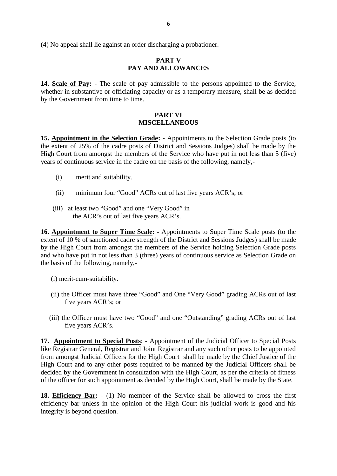(4) No appeal shall lie against an order discharging a probationer.

#### **PART V PAY AND ALLOWANCES**

14. Scale of Pay: - The scale of pay admissible to the persons appointed to the Service,<br>
14. Scale of Pay: - The scale of pay admissible to the persons appointed to the Service,<br>
14. Scale of Pay: - The scale of pay admis whether in substantive or officiating capacity or as a temporary measure, shall be as decided **PAY AND**<br>**14. <u>Scale of Pay</u>: - The scale of pay ad**<br>whether in substantive or officiating capace<br>by the Government from time to time.

#### **PART VI MISCELLANEOUS**

**15. Appointment in the Selection Grade:** - Appointments to the Selection Grade posts (to the extent of 25% of the cadre posts of District and Sessions Judges) shall be made by the extent of 25% of the cadre posts of Distr High Court from amongst the members of the Service who have put in not less than 5 (five) years of continuous service in the cadre on the basis of the following, namely, **pooplement in the Selection G**<br>stent of 25% of the cadre posts<br>Court from amongst the member of continuous service in the cadr<br>(i) merit and suitability.

- 
- (ii) minimum four "Good" ACRs out of last five years ACR's; or
- (iii) at least two "Good" and one "Very Good" in the ACR's out of last five years ACR's.

16. Appointment to Super Time Scale: - Appointments to Super Time Scale posts (to the extent of 10 % of sanctioned cadre strength of the District and Sessions Judges) shall be made by the High Court from amongst the members of the Service holding Selection Grade posts and who have put in not less than 3 (three) years of continuous service as Selection Grade on the basis of the following, namely,-

- (i) merit-cum-suitability.
- (ii) the Officer must have three "Good" and One "Very Good" grading ACRs out of last five years ACR's; or
- (iii) the Officer must have two "Good" and one "Outstanding" grading ACRs out of last five years ACR's.

IT THE SPECIES TO THE SPECIES THE VERTING THE OFFICER THIS USE THE VERTING SPECIAL CONSISTING THE VERTING SPECIAL POSTS.<br> **17. Appointment to Special Posts**: - Appointment of the Judicial Officer to Special Posts like Regi from amongst Judicial Officers for the High Court shall be made by the Chief Justice of the High Court and to any other posts required to be manned by the Judicial Officers shall be decided by the Government in consultation with the High Court, as per the criteria of fitness of the officer for such appointment as decided by the High Court, shall be made by the State.

**18. Efficiency Bar: -** (1) No member of the Service shall be allowed to cross the first efficiency bar unless in the opinion of the High Court his judicial work is good and his integrity is beyond question.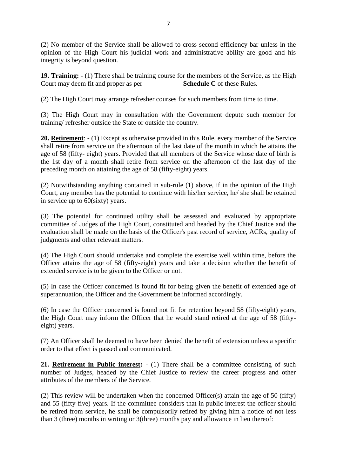(2) No member of the Service shall be allowed to cross second efficiency bar unless in the opinion of the High Court his judicial work and administrative ability are good and his integrity is beyond question. 19. Training: - (1) There shall be allowed to cross second efficiency bar unless in the opinion of the High Court his judicial work and administrative ability are good and his integrity is beyond question.<br> **19. <u>Training</u>** 

Court may deem fit and proper as per **Schedule C** of these Rules. (2) The High Court may arrange refresher courses for such members of the Service, as the High Court may deem fit and proper as per<br>
(2) The High Court may arrange refresher courses for such members from time to time.<br>
(3)

**19. Training:** - (1) There shall be training course for the members of the Service, as the High Court may deem fit and proper as per Schedule C of these Rules.<br>
(2) The High Court may arrange refresher courses for such me training/ refresher outside the State or outside the country.

(2) The High Court may arrange refresher courses for such members from time to time.<br>
(3) The High Court may in consultation with the Government depute such member for<br>
training/ refresher outside the State or outside the (3) The High Court may in consultation with the Government depute such member for training/ refresher outside the State or outside the country.<br> **20. <u>Retirement</u>**: - (1) Except as otherwise provided in this Rule, every me (3) The High Court may in consultation with the Government depute such member for training/ refresher outside the State or outside the country.<br> **20.** <u>Retirement</u>:  $- (1)$  Except as otherwise provided in this Rule, every **20. Retirement**:  $-(1)$  Except as otherwise provided in this Rule, every member of the Service shall retire from service on the afternoon of the last date of the month in which he attains the age of 58 (fifty-eight) years shall retire from service on the afternoon of the last date of the month in which he attains the age of 58 (fifty-eight) years. Provided that all members of the Service whose date of birth is the 1st day of a month shall r

in service up to 60(sixty) years. (2) Notwithstanding anything contained in sub-rule (1) above, if in the opinion of the High Court, any member has the potential to continue with his/her service, he/ she shall be retained in service up to  $60$ (sixty) year

committee of Judges of the High Court, constituted and headed by the Chief Justice and the evaluation shall be made on the basis of the Officer's past record of service, ACRs, quality of judgments and other relevant matters. (3) The potential for continued utility shall be assessed and evaluated by appropriate<br>committee of Judges of the High Court, constituted and headed by the Chief Justice and the<br>evaluation shall be made on the basis of the

extended service is to be given to the Officer or not. (4) The High Court should undertake and complete the exercise well within time, before the Officer attains the age of 58 (fifty-eight) years and take a decision whether the benefit of extended service is to be given to the

superannuation, the Officer and the Government be informed accordingly.

extended service is to be given to the Officer or not.<br>
(5) In case the Officer concerned is found fit for being given the benefit of extended age of<br>
superannuation, the Officer and the Government be informed accordingly. the High Court may inform the Officer that he would stand retired at the age of 58 (fiftyeight) years. (6) In case the Officer concerned is found not fit for retention beyond 58 (fifty-eight) years, the High Court may inform the Officer that he would stand retired at the age of 58 (fifty-eight) years.<br>(7) An Officer shall b

order to that effect is passed and communicated.

eight) years.<br>
(7) An Officer shall be deemed to have been denied the benefit of extension unless a specific<br>
order to that effect is passed and communicated.<br> **21. <u>Retirement in Public interest</u>:** - (1) There shall be a number of Judges, headed by the Chief Justice to review the career progress and other attributes of the members of the Service. **21. <u>Retirement in Public interest</u>:** - (1) There shall be a committee consisting of such number of Judges, headed by the Chief Justice to review the career progress and other attributes of the members of the Service.<br>(2)

and 55 (fifty-five) years. If the committee considers that in public interest the officer should (2) This review will be undertaken when the concerned Officer(s) attain the age of 50 (fifty) and 55 (fifty-five) years. If the committee considers that in public interest the officer should be retired from service, he sh than 3 (three) months in writing or 3(three) months pay and allowance in lieu thereof: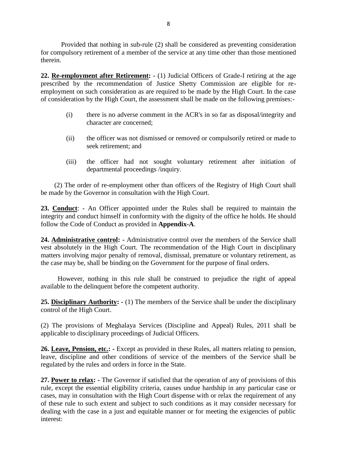Provided that nothing in sub-rule (2) shall be considered as preventing consideration Frovided that nothing in sub-rule (2) shall be considered as preventing consideration<br>for compulsory retirement of a member of the service at any time other than those mentioned<br>therein. therein. Provided that nothing in sub-rule (2) shall be considered as preventing consideration<br>for compulsory retirement of a member of the service at any time other than those mentioned<br>therein.<br>**22. <u>Re-employment after Retiremen**</u>

prescribed by the recommendation of Justice Shetty Commission are eligible for refor compulsory retirement of a member of the service at any time other than those mentioned<br>therein.<br>**22. <u>Re-employment after Retirement</u>:** - (1) Judicial Officers of Grade-I retiring at the age<br>prescribed by the recommen of consideration by the High Court, the assessment shall be made on the following premises: mployment after Retirement: - (1) Judicial Officers of Grade-I retiring at the age<br>d by the recommendation of Justice Shetty Commission are eligible for re-<br>ent on such consideration as are required to be made by the High

- character are concerned; eration by the High Court, the assessment shall be made on the following premises:-<br>
(i) there is no adverse comment in the ACR's in so far as disposal/integrity and<br>
character are concerned;<br>
(ii) the officer was not dism
- seek retirement; and (ii) the officer was not dismissed or removed or compulsorily retired or made to seek retirement; and<br>(iii) the officer had not sought voluntary retirement after initiation of
- departmental proceedings /inquiry.

(2) The order of re-employment other than officers of the Registry of High Court shall be made by the Governor in consultation with the High Court.

departmental proceedings /inquiry.<br>
23. Conduct of re-employment other than officers of the Registry of High Court shall<br>
be made by the Governor in consultation with the High Court.<br>
23. Conduct: - An Officer appointed un integrity and conduct integrity and conduct himself in consultation with the High Court.<br> **23. <u>Conduct</u>**: - An Officer appointed under the Rules shall be required to maintain the integrity and conduct himself in conformit Follow the Code of Conduct as provided under the Rules shall be required to maintain the integrity and conduct himself in conformity with the dignity of the office he holds. He should follow the Code of Conduct as provided

**23. Conduct**: - An Officer appointed under the Rules shall be required to maintain the integrity and conduct himself in conformity with the dignity of the office he holds. He should follow the Code of Conduct as provided matters involving major penalty of removal, dismissal, premature or voluntary retirement, as the case may be, shall be binding on the Government for the purpose of final orders.

However, nothing in this rule shall be construed to prejudice the right of appeal available to the delinquent before the competent authority. the case may be, shall be binding on the Government for the purpose of final orders.<br> **25. Disciplinary Authority:**  $\cdot$  (1) The members of the Service shall be under the disciplinary<br> **25. Disciplinary Authority:**  $\cdot$  (1

control of the High Court. available to the delinquent before the competent authority.<br>
25. Disciplinary Authority:  $\cdot$  (1) The members of the Service shall be under the disciplinary<br>
control of the High Court.<br>
(2) The provisions of Meghalaya Serv

applicable to disciplinary proceedings of Judicial Officers.

control of the High Court.<br>
(2) The provisions of Meghalaya Services (Discipline and Appeal) Rules, 2011 shall be<br>
applicable to disciplinary proceedings of Judicial Officers.<br> **26. <u>Leave, Pension, etc.</u>:** - Except as pro regulated by the rules and orders in force in the State. **26. Leave, Pension, etc.:** - Except as provided in these Rules, all matters relating to pension, leave, discipline and other conditions of service of the members of the Service shall be regulated by the rules and orders i

**26. Leave, Pension, etc.:** - Except as provided in these Rules, all matters relating to pension, leave, discipline and other conditions of service of the members of the Service shall be regulated by the rules and orders i cases, may in consultation with the High Court dispense with or relax the requirement of any of these rule to such extent and subject to such conditions as it may consider necessary for dealing with the case in a just and equitable manner or for meeting the exigencies of public interest: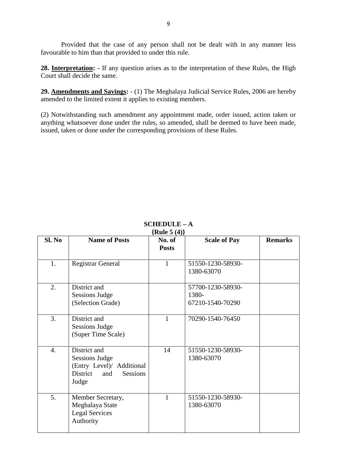Provided that the case of any person shall not be dealt with in any manner less favourable to him than that provided to under this rule.

**28. Interpretation: -** If any question arises as to the interpretation of these Rules, the High Court shall decide the same.

favourable to him than that provided to under this rule.<br> **28.** <u>Interpretation</u>: - If any question arises as to the interpretation of these Rules, the High<br>
Court shall decide the same.<br> **29.** <u>Amendments and Savings</u>: amended to the limited extent it applies to existing members.

(2) Court shall decide the same.<br> **29. Amendments and Savings:** - (1) The Meghalaya Judicial Service Rules, 2006 are hereby<br>
amended to the limited extent it applies to existing members.<br>
(2) Notwithstanding such amendment anything whatsoever done under the rules, so amended, shall be deemed to have been made, issued, taken or done under the corresponding provisions of these Rules.

| $SCHEDULE - A$<br>{Rule $5(4)$ } |                                                                                                                   |                        |                                                |                |  |
|----------------------------------|-------------------------------------------------------------------------------------------------------------------|------------------------|------------------------------------------------|----------------|--|
| SI. No                           | <b>Name of Posts</b>                                                                                              | No. of<br><b>Posts</b> | <b>Scale of Pay</b>                            | <b>Remarks</b> |  |
| 1.                               | <b>Registrar General</b>                                                                                          | $\mathbf{1}$           | 51550-1230-58930-<br>1380-63070                |                |  |
| $\overline{2}$ .                 | District and<br><b>Sessions Judge</b><br>(Selection Grade)                                                        |                        | 57700-1230-58930-<br>1380-<br>67210-1540-70290 |                |  |
| 3.                               | District and<br><b>Sessions Judge</b><br>(Super Time Scale)                                                       | 1                      | 70290-1540-76450                               |                |  |
| $\overline{4}$ .                 | District and<br><b>Sessions Judge</b><br>(Entry Level)/ Additional<br>District<br><b>Sessions</b><br>and<br>Judge | 14                     | 51550-1230-58930-<br>1380-63070                |                |  |
| 5.                               | Member Secretary,<br>Meghalaya State<br><b>Legal Services</b><br>Authority                                        | $\mathbf{1}$           | 51550-1230-58930-<br>1380-63070                |                |  |

#### **SCHEDULE – A {Rule 5 (4)}**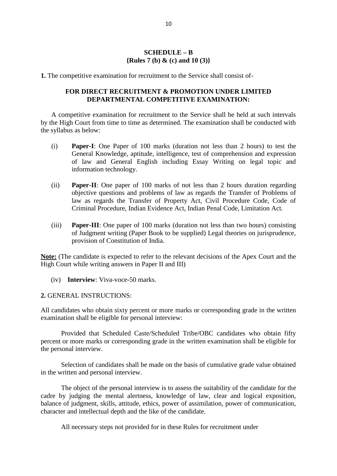#### **SCHEDULE – B {Rules 7 (b) & (c) and 10 (3)}**

**1.** The competitive examination for recruitment to the Service shall consist of-

#### **FOR DIRECT RECRUITMENT & PROMOTION UNDER LIMITED DEPARTMENTAL COMPETITIVE EXAMINATION:**

1. The competitive examination for recruitment to the Service shall consist of-<br> **FOR DIRECT RECRUITMENT & PROMOTION UNDER LIMITED**<br> **DEPARTMENTAL COMPETITIVE EXAMINATION:**<br>
A competitive examination for recruitment to the the syllabus as below:

- (i) **Paper-I**: One Paper of 100 marks (duration not less than 2 hours) to test the General Knowledge, aptitude, intelligence, test of comprehension and expression of law and General English including Essay Writing on legal topic and information technology. (i) **Paper-I**: One Paper of 100 marks (duration not less than 2 hours) to test the General Knowledge, aptitude, intelligence, test of comprehension and expression of law and General English including Essay Writing on legal
- objective questions and problems of law as regards the Transfer of Problems of law as regards the Transfer of Property Act, Civil Procedure Code, Code of Criminal Procedure, Indian Evidence Act, Indian Penal Code, Limitation Act.
- (iii) **Paper-III**: One paper of 100 marks (duration not less than two hours) consisting of Judgment writing (Paper Book to be supplied) Legal theories on jurisprudence, provision of Constitution of India.

**Note:** (The candidate is expected to refer to the relevant decisions of the Apex Court and the High Court while writing answers in Paper II and III)

(iv) **Interview**: Viva-voce-50 marks.

**2.** GENERAL INSTRUCTIONS:

(iv) Interview: Viva-voce-50 marks.<br>
2. GENERAL INSTRUCTIONS:<br>
All candidates who obtain sixty percent or more marks or corresponding grade in the written<br>
examination shall be eligible for personal interview: examination shall be eligible for personal interview:

Provided that Scheduled Caste/Scheduled Tribe/OBC candidates who obtain fifty All candidates who obtain sixty percent or more marks or corresponding grade in the written examination shall be eligible for personal interview:<br>Provided that Scheduled Caste/Scheduled Tribe/OBC candidates who obtain fift the personal interview.

Selection of candidates shall be made on the basis of cumulative grade value obtained in the written and personal interview.

The object of the personal interview is to assess the suitability of the candidate for the cadre by judging the mental alertness, knowledge of law, clear and logical exposition, balance of judgment, skills, attitude, ethics, power of assimilation, power of communication, character and intellectual depth and the like of the candidate.

All necessary steps not provided for in these Rules for recruitment under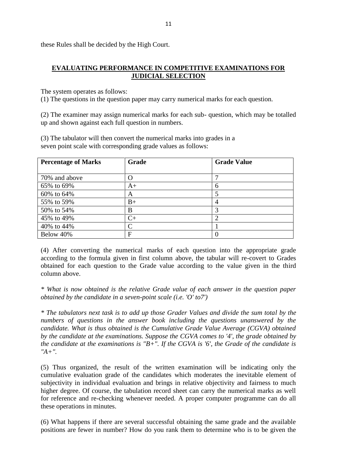these Rules shall be decided by the High Court.

## **EVALUATING PERFORMANCE IN COMPETITIVE EXAMINATIONS FOR JUDICIAL SELECTION** EVALUATING PERFORMANCE IN COMPETITIVE EXAMINATIONS FOR<br>
<u>JUDICIAL SELECTION</u><br>
The system operates as follows:<br>
(1) The questions in the question paper may carry numerical marks for each question.<br>
(2) The street of the str

The system operates as follows:

(1) The system operates as follows:<br>(1) The questions in the question paper may carry numerical marks for each question.<br>(2) The examiner may assign numerical marks for each sub- question, which may be totalled<br>up and show up and shown against each full question in numbers. (2) The examiner may assign numerical marks for each sub- question, which may be totalled<br>up and shown against each full question in numbers.<br>(3) The tabulator will then convert the numerical marks into grades in a

| seven point scale with corresponding grade values as follows: |               |                    |
|---------------------------------------------------------------|---------------|--------------------|
| <b>Percentage of Marks</b>                                    | Grade         | <b>Grade Value</b> |
| 70% and above                                                 | O             |                    |
| 65% to 69%                                                    | $A+$          | 6                  |
| 60% to 64%                                                    | A             | 5                  |
| 55% to 59%                                                    | $B+$          | 4                  |
| 50% to 54%                                                    | B             | 3                  |
| 45% to 49%                                                    | $C+$          | 2                  |
| 40% to 44%                                                    | $\mathcal{C}$ |                    |
| Below 40%                                                     | F             | 0                  |

obtained for each question to the Grade value according to the value given in the third column above.

*\* What is now obtained is the relative Grade value of each answer in the question paper obtained by the candidate in a seven-point scale (i.e. 'O' to7')*

*\* The tabulators next task is to add up those Grader Values and divide the sum total by the numbers of questions in the answer book including the questions unanswered by the candidate. What is thus obtained is the Cumulative Grade Value Average (CGVA) obtained bbtained by the candidate in a seven-point scale (i.e. 'O' to7')*<br>
\* *The tabulators next task is to add up those Grader Values and divide the sum total by the*<br> *numbers of questions in the answer book including the ques the candidate at the examinations is "B+". If the CGVA is '6', the Grade of the candidate is "A+".*

(5) Thus organized, the result of the written examination will be indicating only the cumulative evaluation grade of the candidates which moderates the inevitable element of subjectivity in individual evaluation and brings in relative objectivity and fairness to much higher degree. Of course, the tabulation record sheet can carry the numerical marks as well (5) Thus organized, the result of the written examination will be indicating only the cumulative evaluation grade of the candidates which moderates the inevitable element of subjectivity in individual evaluation and brings these operations in minutes.

(6) What happens if there are several successful obtaining the same grade and the available positions are fewer in number? How do you rank them to determine who is to be given the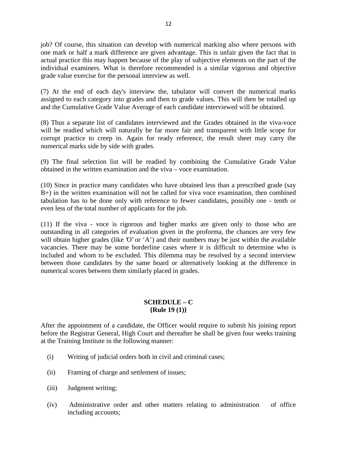job? Of course, this situation can develop with numerical marking also where persons with one mark or half a mark difference are given advantage. This is unfair given the fact that in actual practice this may happen because of the play of subjective elements on the part of the individual examiners. What is therefore recommended is a similar vigorous and objective grade value exercise for the personal interview as well.

(7) At the end of each day's interview the, tabulator will convert the numerical marks assigned to each category into grades and then to grade values. This will then be totalled up and the Cumulative Grade Value Average of each candidate interviewed will be obtained. (7) At the end of each day's interview the, tabulator will convert the numerical marks assigned to each category into grades and then to grade values. This will then be totalled up and the Cumulative Grade Value Average of

will be readied which will naturally be far more fair and transparent with little scope for corrupt practice to creep in. Again for ready reference, the result sheet may carry the numerical marks side by side with grades. (8) Thus a separate list of candidates interviewed and the Grades obtained in the viva-voce<br>will be readied which will naturally be far more fair and transparent with little scope for<br>corrupt practice to creep in. Again f

obtained in the written examination and the viva – voce examination.

(10) Since in practice many candidates who have obtained less than a prescribed grade (say B+) in the written examination will not be called for viva voce examination, then combined (9) The final selection list will be readied by combining the Cumulative Grade Value<br>obtained in the written examination and the viva – voce examination.<br>(10) Since in practice many candidates who have obtained less than even less of the total number of applicants for the job. (10) Since in practice many candidates who have obtained less than a prescribed grade (say  $B+$ ) in the written examination will not be called for viva voce examination, then combined tabulation has to be done only with r

outstanding in all categories of evaluation given in the proforma, the chances are very few will obtain higher grades (like 'O' or 'A') and their numbers may be just within the available even less of the total number of applicants for the job.<br>
(11) If the viva - voce is rigorous and higher marks are given only to those who are<br>
outstanding in all categories of evaluation given in the proforma, the chances included and whom to be excluded. This dilemma may be resolved by a second interview between those candidates by the same board or alternatively looking at the difference in numerical scores between them similarly placed in grades.

#### **SCHEDULE – C {Rule 19 (1)}**

**SCHEDULE – C**<br>  ${Rule 19 (1)}$ <br>
After the appointment of a candidate, the Officer would require to submit his joining report<br>
before the Registrar General, High Court and thereafter he shall be given four weeks training at the Training Institute in the following manner: (i) The subset of the appointment of a candidate, the Officer would require to subset<br>fore the Registrar General, High Court and thereafter he shall be given<br>the Training Institute in the following manner:<br>(i) Writing of j fore the Registrar General, High Court and thereafter he<br>the Training Institute in the following manner:<br>(i) Writing of judicial orders both in civil and crimin<br>(ii) Framing of charge and settlement of issues;

- (i) Writing of judicial orde<br>
(ii) Framing of charge and<br>
(iii) Judgment writing;
- 
- 
- (ii) Framing of charge and settlement of issues;<br>
(iii) Judgment writing;<br>
(iv) Administrative order and other matters relating to administration of office<br>
including accounts; including accounts;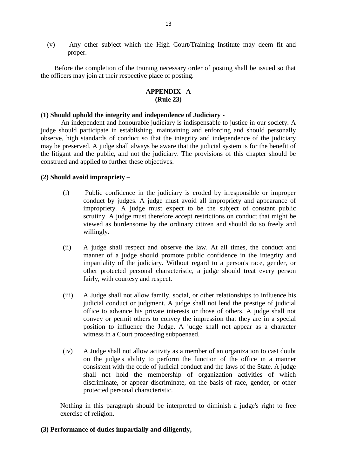13<br>
(v) Any other subject which the High Court/Training Institute may deem fit and<br>
proper. proper.

Before the completion of the training necessary order of posting shall be issued so that the officers may join at their respective place of posting.

#### **APPENDIX –A (Rule 23)**

#### **(1) Should uphold the integrity and independence of Judiciary -**

An independent and honourable judiciary is indispensable to justice in our society. A judge should participate in establishing, maintaining and enforcing and should personally observe, high standards of conduct so that the integrity and independence of the judiciary may be preserved. A judge shall always be aware that the judicial system is for the benefit of the litigant and the public, and not the judiciary. The provisions of this chapter should be construed and applied to further these objectives. (2) observe, high standards of conduct so the may be preserved. A judge shall always b the litigant and the public, and not the j construed and applied to further these objes (2) **Should avoid impropriety** –

- In and the public, and not the judiciary. The provisions of this chapter should be ed and applied to further these objectives.<br> **and avoid impropriety** –<br>
(i) Public confidence in the judiciary is eroded by irresponsible o impropriety. A judge must expect to be the subject of constant public id impropriety –<br>Public confidence in the judiciary is eroded by irresponsible or improper<br>conduct by judges. A judge must avoid all impropriety and appearance of<br>impropriety. A judge must expect to be the subject of const viewed as burdensome by the ordinary citizen and should do so freely and willingly. Scrutiny. A judge must therefore accept restrictions on conduct that might be<br>viewed as burdensome by the ordinary citizen and should do so freely and<br>willingly.<br>(ii) A judge shall respect and observe the law. At all times
- manner of a judge should promote public confidence in the integrity and impartiality of the judiciary. Without regard to a person's race, gender, or other protected personal characteristic, a judge should treat every person fairly, with courtesy and respect. manner of a judge should promote public confidence in the integrity and<br>impartiality of the judiciary. Without regard to a person's race, gender, or<br>other protected personal characteristic, a judge should treat every perso
- judicial conduct or judgment. A judge shall not lend the prestige of judicial office to advance his private interests or those of others. A judge shall not convey or permit others to convey the impression that they are in a special position to influence the Judge. A judge shall not appear as a character witness in a Court proceeding subpoenaed. (iv) of the state interests or those of others. A judge shall not<br>convey or permit others to convey the impression that they are in a special<br>position to influence the Judge. A judge shall not appear as a character<br>witness
- convey or permit others to convey the impression that they are in a special<br>position to influence the Judge. A judge shall not appear as a character<br>witness in a Court proceeding subpoenaed.<br>A Judge shall not allow activit consistent with the code of judicial conduct and the laws of the State. A judge shall not hold the membership of organization activities of which discriminate, or appear discriminate, on the basis of race, gender, or other protected personal characteristic.

Nothing in this paragraph should be interpreted to diminish a judge's right to free exercise of religion.

#### **(3) Performance of duties impartially and diligently, –**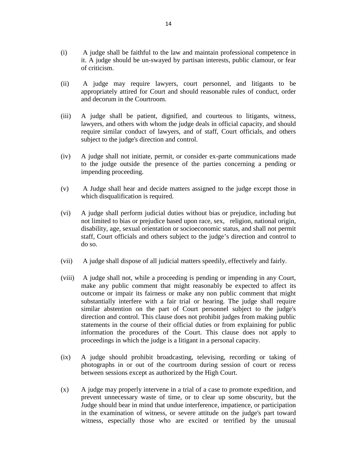- (i) A judge shall be faithful to the law and maintain professional competence in<br>it. A judge should be un-swayed by partisan interests, public clamour, or fear it. A judge should be un-swayed by partisan interests, public clamour, or fear of criticism. (i) A judge shall be faithful to the law and maintain professional competence in it. A judge should be un-swayed by partisan interests, public clamour, or fear of criticism.<br>
(ii) A judge may require lawyers, court personn
- appropriately attired for Court and should reasonable rules of conduct, order and decorum in the Courtroom. (ii) A judge may require lawyers, court personnel, and litigants to be appropriately attired for Court and should reasonable rules of conduct, order and decorum in the Courtroom.<br>(iii) A judge shall be patient, dignified,
- lawyers, and others with whom the judge deals in official capacity, and should require similar conduct of lawyers, and of staff, Court officials, and others subject to the judge's direction and control. (iii) A judge shall be patient, dignified, and courteous to litigants, witness,<br>lawyers, and others with whom the judge deals in official capacity, and should<br>require similar conduct of lawyers, and of staff, Court officia
- to the judge outside the presence of the parties concerning a pending or impending proceeding. (iv) A judge shall not initiate, permit, or consider ex-parte communications made<br>to the judge outside the presence of the parties concerning a pending or<br>impending proceeding.<br>(v) A Judge shall hear and decide matters ass
- which disqualification is required. (v) A Judge shall hear and decide matters assigned to the judge except those in which disqualification is required.<br>(vi) A judge shall perform judicial duties without bias or prejudice, including but
- not limited to bias or prejudice based upon race, sex, religion, national origin, disability, age, sexual orientation or socioeconomic status, and shall not permit staff, Court officials and others subject to the judge's direction and control to do so. not limited to bias or prejudice based upon race, sex, religion, national origin, disability, age, sexual orientation or socioeconomic status, and shall not permit staff, Court officials and others subject to the judge's d
- 
- Start, Court officials and others subject to the judge s direction and control to<br>do so.<br>(viii) A judge shall dispose of all judicial matters speedily, effectively and fairly.<br>(viii) A judge shall not, while a proceeding i make any public comment that might reasonably be expected to affect its outcome or impair its fairness or make any non public comment that might substantially interfere with a fair trial or hearing. The judge shall require similar abstention on the part of Court personnel subject to the judge's direction and control. This clause does not prohibit judges from making public statements in the course of their official duties or from explaining for public information the procedures of the Court. This clause does not apply to proceedings in which the judge is a litigant in a personal capacity. direction and control. This clause does not prohibit judges from making public<br>statements in the course of their official duties or from explaining for public<br>information the procedures of the Court. This clause does not a
- photographs in or out of the courtroom during session of court or recess between sessions except as authorized by the High Court. (ix) A judge should prohibit broadcasting, televising, recording or taking of photographs in or out of the courtroom during session of court or recess between sessions except as authorized by the High Court.<br>
(x) A judge m
- prevent unnecessary waste of time, or to clear up some obscurity, but the Judge should bear in mind that undue interference, impatience, or participation between sessions except as authorized by the High Court.<br>A judge may properly intervene in a trial of a case to promote expedition, and<br>prevent unnecessary waste of time, or to clear up some obscurity, but the<br>Judge should witness, especially those who are excited or terrified by the unusual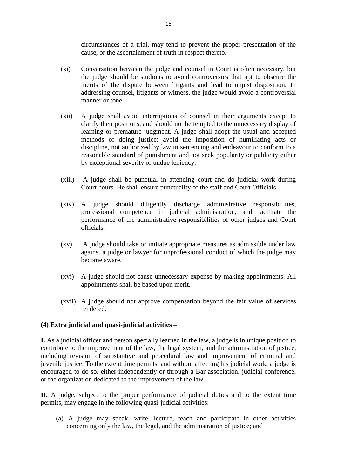circumstances of a trial, may tend to prevent the proper presentation of the cause, or the ascertainment of truth in respect thereto.

- (xi) circumstances of a trial, may tend to prevent the proper presentation of the cause, or the ascertainment of truth in respect thereto.<br>(xi) Conversation between the judge and counsel in Court is often necessary, but th the judge should be studious to avoid controversies that apt to obscure the merits of the dispute between litigants and lead to unjust disposition. In addressing counsel, litigants or witness, the judge would avoid a controversial manner or tone. the judge should be studious to avoid controversies that apt to obscure the<br>merits of the dispute between litigants and lead to unjust disposition. In<br>addressing counsel, litigants or witness, the judge would avoid a contr
- clarify their positions, and should not be tempted to the unnecessary display of addressing counsel, litigants or witness, the judge would avoid a controversial<br>manner or tone.<br>A judge shall avoid interruptions of counsel in their arguments except to<br>clarify their positions, and should not be tempted t discipline, not authorized by law in sentencing and endeavour to conform to a reasonable standard of punishment and not seek popularity or publicity either by exceptional severity or undue leniency. methods of doing justice; avoid the imposition of humiliating acts or<br>discipline, not authorized by law in sentencing and endeavour to conform to a<br>reasonable standard of punishment and not seek popularity or publicity eit
- Court hours. He shall ensure punctuality of the staff and Court Officials.
- by exceptional severty or undue temency.<br>
(xiii) A judge shall be punctual in attending court and do judicial work during<br>
Court hours. He shall ensure punctuality of the staff and Court Officials.<br>
(xiv) A judge should di performance of the administrative responsibilities of other judges and Court officials. (xiv) A judge should diligently discharge administrative responsibilities,<br>professional competence in judicial administration, and facilitate the<br>performance of the administrative responsibilities of other judges and Court
- against a judge or lawyer for unprofessional conduct of which the judge may become aware. (xv) A judge should take or initiate appropriate measures as admissible under law<br>against a judge or lawyer for unprofessional conduct of which the judge may<br>become aware.<br>(xvi) A judge should not cause unnecessary expense
- appointments shall be based upon merit. (xvi) A judge should not cause unnecessary expense by making appointments. All appointments shall be based upon merit.<br>(xvii) A judge should not approve compensation beyond the fair value of services rendered.
- rendered.

#### **(4) Extra judicial and quasi-judicial activities –**

**I.** As a judicial officer and person specially learned in the law, a judge is in unique position to contribute to the improvement of the law, the legal system, and the administration of justice, including revision of substantive and procedural law and improvement of criminal and juvenile justice. To the extent time permits, and without affecting his judicial work, a judge is encouraged to do so, either independently or through a Bar association, judicial conference, or the organization dedicated to the improvement of the law.

**II.** A judge, subject to the proper performance of judicial duties and to the extent time permits, may engage in the following quasi-judicial activities: (a) a judge, subject to the proper performance of judicial duties and to the extent time<br>ts, may engage in the following quasi-judicial activities:<br>(a) A judge may speak, write, lecture, teach and participate in other acti

concerning only the law, the legal, and the administration of justice; and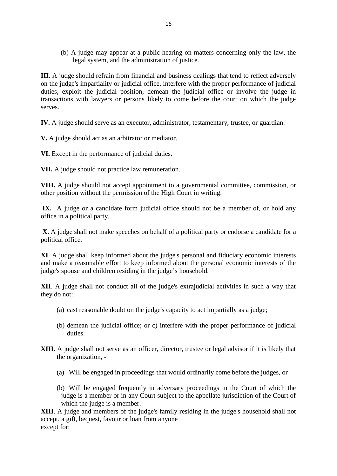(b) A judge may appear at a public hearing on matters concerning only the law, the 16<br>
A judge may appear at a public hearing on matter<br>
legal system, and the administration of justice.

**III.** A judge should refrain from financial and business dealings that tend to reflect adversely on the judge's impartiality or judicial office, interfere with the proper performance of judicial duties, exploit the judicial position, demean the judicial office or involve the judge in transactions with lawyers or persons likely to come before the court on which the judge serves.

**IV.** A judge should serve as an executor, administrator, testamentary, trustee, or guardian.

**V.** A judge should act as an arbitrator or mediator.

**VI.** Except in the performance of judicial duties.

**VII.** A judge should not practice law remuneration.

**VIII.** A judge should not accept appointment to a governmental committee, commission, or other position without the permission of the High Court in writing.

IX. A judge or a candidate form judicial office should not be a member of, or hold any office in a political party.

**X.** A judge shall not make speeches on behalf of a political party or endorse a candidate for a political office.

**XI**. A judge shall keep informed about the judge's personal and fiduciary economic interests and make a reasonable effort to keep informed about the personal economic interests of the judge's spouse and children residing in the judge's household.

**XII**. A judge shall not conduct all of the judge's extrajudicial activities in such a way that they do not: (a) cast reasonable doubt on the judge's extrajudicial activities in such a way<br>
(a) cast reasonable doubt on the judge's capacity to act impartially as a judge;<br>
(a) cast reasonable doubt on the judge's capacity to act i

- 
- (a) cast reasonable doubt on the judge's capacity to act impartially as a judge;<br>(b) demean the judicial office; or c) interfere with the proper performance of judicial duties. (b) demean the judicial<br>duties.<br>A judge shall not serve<br>the organization, -
- **XIII**. A judge shall not serve as an officer, director, trustee or legal advisor if it is likely that (a) during that the organization, the engaged in proceedings that would ordinarily come before the judges, or (a) Will be engaged in proceedings that would ordinarily come before the judges, or
	-
	- A judge shall not serve as an officer, director, trustee or legal advisor if it is likely that<br>the organization, -<br>(a) Will be engaged in proceedings that would ordinarily come before the judges, or<br>(b) Will be engaged fre which the judge is a member.

**XIII**. A judge and members of the judge's family residing in the judge's household shall not accept, a gift, bequest, favour or loan from anyone except for: